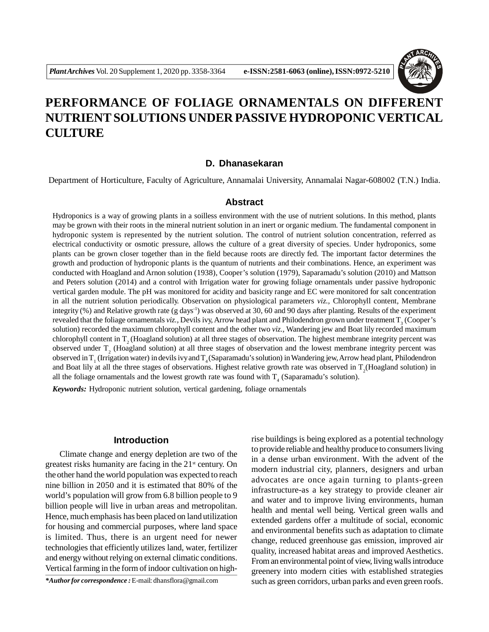

# **PERFORMANCE OF FOLIAGE ORNAMENTALS ON DIFFERENT NUTRIENT SOLUTIONS UNDER PASSIVE HYDROPONIC VERTICAL CULTURE**

## **D. Dhanasekaran**

Department of Horticulture, Faculty of Agriculture, Annamalai University, Annamalai Nagar-608002 (T.N.) India.

### **Abstract**

Hydroponics is a way of growing plants in a soilless environment with the use of nutrient solutions. In this method, plants may be grown with their roots in the mineral nutrient solution in an inert or organic medium. The fundamental component in hydroponic system is represented by the nutrient solution. The control of nutrient solution concentration, referred as electrical conductivity or osmotic pressure, allows the culture of a great diversity of species. Under hydroponics, some plants can be grown closer together than in the field because roots are directly fed. The important factor determines the growth and production of hydroponic plants is the quantum of nutrients and their combinations. Hence, an experiment was conducted with Hoagland and Arnon solution (1938), Cooper's solution (1979), Saparamadu's solution (2010) and Mattson and Peters solution (2014) and a control with Irrigation water for growing foliage ornamentals under passive hydroponic vertical garden module. The pH was monitored for acidity and basicity range and EC were monitored for salt concentration in all the nutrient solution periodically. Observation on physiological parameters *viz.,* Chlorophyll content, Membrane integrity  $(\%)$  and Relative growth rate (g days<sup>-1</sup>) was observed at 30, 60 and 90 days after planting. Results of the experiment revealed that the foliage ornamentals *viz.*, Devils ivy, Arrow head plant and Philodendron grown under treatment T<sub>3</sub> (Cooper's solution) recorded the maximum chlorophyll content and the other two *viz.,* Wandering jew and Boat lily recorded maximum chlorophyll content in  $T<sub>2</sub>$  (Hoagland solution) at all three stages of observation. The highest membrane integrity percent was observed under  $T_2$  (Hoagland solution) at all three stages of observation and the lowest membrane integrity percent was observed in  $T_1$  (Irrigation water) in devils ivy and  $T_4$  (Saparamadu's solution) in Wandering jew, Arrow head plant, Philodendron and Boat lily at all the three stages of observations. Highest relative growth rate was observed in  $T_2$ (Hoagland solution) in all the foliage ornamentals and the lowest growth rate was found with  $T<sub>4</sub>$  (Saparamadu's solution).

*Keywords:* Hydroponic nutrient solution, vertical gardening, foliage ornamentals

#### **Introduction**

Climate change and energy depletion are two of the greatest risks humanity are facing in the  $21<sup>st</sup>$  century. On the other hand the world population was expected to reach nine billion in 2050 and it is estimated that 80% of the world's population will grow from 6.8 billion people to 9 billion people will live in urban areas and metropolitan. Hence, much emphasis has been placed on land utilization for housing and commercial purposes, where land space is limited. Thus, there is an urgent need for newer technologies that efficiently utilizes land, water, fertilizer and energy without relying on external climatic conditions. Vertical farming in the form of indoor cultivation on high-

rise buildings is being explored as a potential technology to provide reliable and healthy produce to consumers living in a dense urban environment. With the advent of the modern industrial city, planners, designers and urban advocates are once again turning to plants-green infrastructure-as a key strategy to provide cleaner air and water and to improve living environments, human health and mental well being. Vertical green walls and extended gardens offer a multitude of social, economic and environmental benefits such as adaptation to climate change, reduced greenhouse gas emission, improved air quality, increased habitat areas and improved Aesthetics. From an environmental point of view, living walls introduce greenery into modern cities with established strategies \*Author for correspondence : E-mail: dhansflora@gmail.com such as green corridors, urban parks and even green roofs.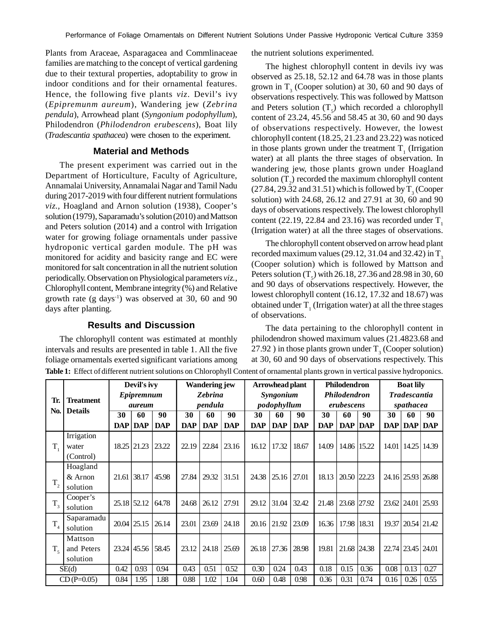Plants from Araceae, Asparagacea and Commlinaceae families are matching to the concept of vertical gardening due to their textural properties, adoptability to grow in indoor conditions and for their ornamental features. Hence, the following five plants *viz.* Devil's ivy (*Epipremunm aureum*), Wandering jew (*Zebrina pendula*), Arrowhead plant (*Syngonium podophyllum*), Philodendron (*Philodendron erubescens*), Boat lily (*Tradescantia spathacea*) were chosen to the experiment.

# **Material and Methods**

The present experiment was carried out in the Department of Horticulture, Faculty of Agriculture, Annamalai University, Annamalai Nagar and Tamil Nadu during 2017-2019 with four different nutrient formulations *viz.,* Hoagland and Arnon solution (1938), Cooper's solution (1979), Saparamadu's solution (2010) and Mattson and Peters solution (2014) and a control with Irrigation water for growing foliage ornamentals under passive hydroponic vertical garden module. The pH was monitored for acidity and basicity range and EC were monitored for salt concentration in all the nutrient solution periodically. Observation on Physiological parameters *viz.,* Chlorophyll content, Membrane integrity (%) and Relative growth rate  $(g \text{ days}^{-1})$  was observed at 30, 60 and 90 days after planting.

# **Results and Discussion**

The chlorophyll content was estimated at monthly intervals and results are presented in table 1. All the five foliage ornamentals exerted significant variations among **Table 1:** Effect of different nutrient solutions on Chlorophyll Content of ornamental plants grown in vertical passive hydroponics.

the nutrient solutions experimented.

The highest chlorophyll content in devils ivy was observed as 25.18, 52.12 and 64.78 was in those plants grown in  $T_3$  (Cooper solution) at 30, 60 and 90 days of observations respectively. This was followed by Mattson and Peters solution  $(T<sub>5</sub>)$  which recorded a chlorophyll content of 23.24, 45.56 and 58.45 at 30, 60 and 90 days of observations respectively. However, the lowest chlorophyll content (18.25, 21.23 and 23.22) was noticed in those plants grown under the treatment  $T<sub>1</sub>$  (Irrigation water) at all plants the three stages of observation. In wandering jew, those plants grown under Hoagland solution  $(T_2)$  recorded the maximum chlorophyll content  $(27.84, 29.32 \text{ and } 31.51)$  which is followed by  $T_{3}$  (Cooper solution) with 24.68, 26.12 and 27.91 at 30, 60 and 90 days of observations respectively. The lowest chlorophyll content (22.19, 22.84 and 23.16) was recorded under  $T<sub>1</sub>$ (Irrigation water) at all the three stages of observations.

The chlorophyll content observed on arrow head plant recorded maximum values (29.12, 31.04 and 32.42) in  $T<sub>3</sub>$ (Cooper solution) which is followed by Mattson and Peters solution  $(T<sub>5</sub>)$  with 26.18, 27.36 and 28.98 in 30, 60 and 90 days of observations respectively. However, the lowest chlorophyll content (16.12, 17.32 and 18.67) was obtained under  $T_1$  (Irrigation water) at all the three stages of observations.

The data pertaining to the chlorophyll content in philodendron showed maximum values (21.4823.68 and 27.92 ) in those plants grown under  $T_3$  (Cooper solution) at 30, 60 and 90 days of observations respectively. This

|                | <b>Treatment</b><br><b>Details</b> | Devil's ivy<br>Epipremnum<br><i>aureum</i> |             |            | <b>Wandering jew</b><br><b>Zebrina</b><br>pendula |            |            | Arrowhead plant<br>Syngonium<br>podophyllum |            |            | <b>Philodendron</b><br>Philodendron<br>erubescens |             |                | <b>Boat lily</b><br><b>Tradescantia</b><br>spathacea |                   |             |
|----------------|------------------------------------|--------------------------------------------|-------------|------------|---------------------------------------------------|------------|------------|---------------------------------------------|------------|------------|---------------------------------------------------|-------------|----------------|------------------------------------------------------|-------------------|-------------|
| Tr.            |                                    |                                            |             |            |                                                   |            |            |                                             |            |            |                                                   |             |                |                                                      |                   |             |
|                |                                    |                                            |             |            |                                                   |            |            |                                             |            |            |                                                   |             |                |                                                      |                   |             |
|                |                                    |                                            | <b>DAP</b>  | <b>DAP</b> | <b>DAP</b>                                        | <b>DAP</b> | <b>DAP</b> | <b>DAP</b>                                  | <b>DAP</b> | <b>DAP</b> | <b>DAP</b>                                        | <b>DAP</b>  | <b>DAP DAP</b> |                                                      | $\mathbf{DAP}$    | <b>DAP</b>  |
|                | Irrigation                         |                                            |             |            |                                                   |            |            |                                             |            |            |                                                   |             |                |                                                      |                   |             |
| $T_{1}$        | water                              |                                            | 18.25 21.23 | 23.22      | 22.19                                             | 22.84      | 23.16      | 16.12                                       | 17.32      | 18.67      | 14.09                                             | 14.86 15.22 |                | 14.01                                                | 14.25             | 14.39       |
|                | (Control)                          |                                            |             |            |                                                   |            |            |                                             |            |            |                                                   |             |                |                                                      |                   |             |
|                | Hoagland                           |                                            |             |            |                                                   |            |            |                                             |            |            |                                                   |             |                |                                                      |                   |             |
|                | & Arnon                            |                                            | 21.61 38.17 | 45.98      | 27.84                                             | 29.32      | 31.51      | 24.38                                       | 25.16      | 27.01      | 18.13                                             | 20.50 22.23 |                |                                                      | 24.16 25.93 26.88 |             |
| $T_{2}$        | solution                           |                                            |             |            |                                                   |            |            |                                             |            |            |                                                   |             |                |                                                      |                   |             |
| $T_{3}$        | Cooper's                           |                                            | 25.18 52.12 | 64.78      | 24.68                                             | 26.12      | 27.91      | 29.12                                       | 31.04      | 32.42      | 21.48                                             | 23.68 27.92 |                |                                                      | 23.62 24.01 25.93 |             |
|                | solution                           |                                            |             |            |                                                   |            |            |                                             |            |            |                                                   |             |                |                                                      |                   |             |
|                | Saparamadu                         |                                            | 20.04 25.15 | 26.14      | 23.01                                             | 23.69      | 24.18      | 20.16                                       | 21.92      | 23.09      | 16.36                                             | 17.98       | 18.31          | 19.37                                                |                   | 20.54 21.42 |
| $T_4$          | solution                           |                                            |             |            |                                                   |            |            |                                             |            |            |                                                   |             |                |                                                      |                   |             |
| T <sub>5</sub> | Mattson                            |                                            |             |            |                                                   |            |            |                                             |            |            |                                                   |             |                |                                                      |                   |             |
|                | and Peters                         |                                            | 23.24 45.56 | 58.45      | 23.12                                             | 24.18      | 25.69      | 26.18                                       | 27.36      | 28.98      | 19.81                                             | 21.68       | 24.38          |                                                      | 22.74 23.45 24.01 |             |
|                | solution                           |                                            |             |            |                                                   |            |            |                                             |            |            |                                                   |             |                |                                                      |                   |             |
| SE(d)          |                                    | 0.42                                       | 0.93        | 0.94       | 0.43                                              | 0.51       | 0.52       | 0.30                                        | 0.24       | 0.43       | 0.18                                              | 0.15        | 0.36           | 0.08                                                 | 0.13              | 0.27        |
| $CD(P=0.05)$   |                                    | 0.84                                       | 1.95        | 1.88       | 0.88                                              | 1.02       | 1.04       | 0.60                                        | 0.48       | 0.98       | 0.36                                              | 0.31        | 0.74           | 0.16                                                 | 0.26              | 0.55        |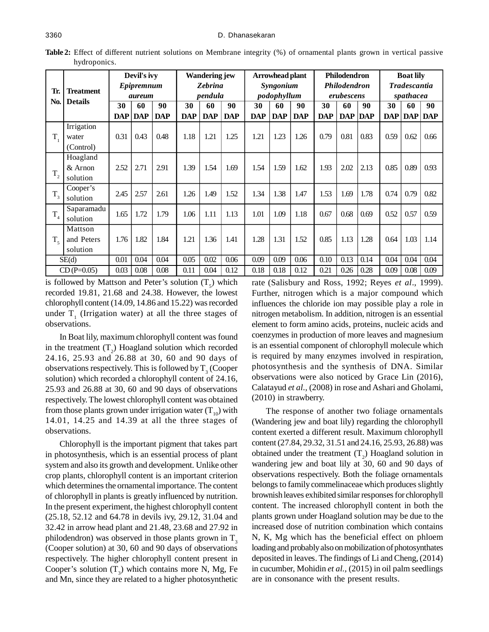| Tr.<br>No.     |                                    | Devil's ivy<br>Epipremnum<br><i>aureum</i> |            |            | <b>Wandering jew</b><br><b>Zebrina</b><br>pendula |            |            | Arrowhead plant<br>Syngonium<br>podophyllum |            |            | <b>Philodendron</b><br>Philodendron<br>erubescens |            |      | <b>Boat lily</b><br><b>Tradescantia</b><br>spathacea |      |            |
|----------------|------------------------------------|--------------------------------------------|------------|------------|---------------------------------------------------|------------|------------|---------------------------------------------|------------|------------|---------------------------------------------------|------------|------|------------------------------------------------------|------|------------|
|                | <b>Treatment</b><br><b>Details</b> |                                            |            |            |                                                   |            |            |                                             |            |            |                                                   |            |      |                                                      |      |            |
|                |                                    |                                            |            |            |                                                   |            |            |                                             |            |            |                                                   |            |      |                                                      |      |            |
|                |                                    | <b>DAP</b>                                 | <b>DAP</b> | <b>DAP</b> | <b>DAP</b>                                        | <b>DAP</b> | <b>DAP</b> | <b>DAP</b>                                  | <b>DAP</b> | <b>DAP</b> | <b>DAP</b>                                        | <b>DAP</b> | DAP  | <b>DAP</b>                                           | DAP  | <b>DAP</b> |
|                |                                    |                                            | Irrigation |            |                                                   |            |            |                                             |            |            |                                                   |            |      |                                                      |      |            |
| $T_{1}$        | water                              | 0.31                                       | 0.43       | 0.48       | 1.18                                              | 1.21       | 1.25       | 1.21                                        | 1.23       | 1.26       | 0.79                                              | 0.81       | 0.83 | 0.59                                                 | 0.62 | 0.66       |
|                | (Control)                          |                                            |            |            |                                                   |            |            |                                             |            |            |                                                   |            |      |                                                      |      |            |
|                | Hoagland                           |                                            |            |            |                                                   |            |            |                                             |            |            |                                                   |            |      |                                                      |      |            |
|                | $&$ Arnon                          | 2.52                                       | 2.71       | 2.91       | 1.39                                              | 1.54       | 1.69       | 1.54                                        | 1.59       | 1.62       | 1.93                                              | 2.02       | 2.13 | 0.85                                                 | 0.89 | 0.93       |
| $T_{2}$        | solution                           |                                            |            |            |                                                   |            |            |                                             |            |            |                                                   |            |      |                                                      |      |            |
|                | Cooper's                           |                                            |            |            |                                                   |            |            |                                             |            |            |                                                   |            |      |                                                      |      |            |
| $T_{3}$        | solution                           | 2.45                                       | 2.57       | 2.61       | 1.26                                              | 1.49       | 1.52       | 1.34                                        | 1.38       | 1.47       | 1.53                                              | 1.69       | 1.78 | 0.74                                                 | 0.79 | 0.82       |
|                | Saparamadu                         | 1.65                                       | 1.72       | 1.79       | 1.06                                              | 1.11       | 1.13       | 1.01                                        | 1.09       | 1.18       | 0.67                                              | 0.68       | 0.69 | 0.52                                                 | 0.57 |            |
| $T_{4}$        | solution                           |                                            |            |            |                                                   |            |            |                                             |            |            |                                                   |            |      |                                                      |      | 0.59       |
|                | Mattson                            |                                            |            |            |                                                   |            |            |                                             |            |            |                                                   |            |      |                                                      |      |            |
| T <sub>5</sub> | and Peters                         | 1.76                                       | 1.82       | 1.84       | 1.21                                              | 1.36       | 1.41       | 1.28                                        | 1.31       | 1.52       | 0.85                                              | 1.13       | 1.28 | 0.64                                                 | 1.03 | 1.14       |
|                | solution                           |                                            |            |            |                                                   |            |            |                                             |            |            |                                                   |            |      |                                                      |      |            |
|                | SE(d)                              |                                            | 0.04       | 0.04       | 0.05                                              | 0.02       | 0.06       | 0.09                                        | 0.09       | 0.06       | 0.10                                              | 0.13       | 0.14 | 0.04                                                 | 0.04 | 0.04       |
| $CD(P=0.05)$   |                                    | 0.03                                       | 0.08       | 0.08       | 0.11                                              | 0.04       | 0.12       | 0.18                                        | 0.18       | 0.12       | 0.21                                              | 0.26       | 0.28 | 0.09                                                 | 0.08 | 0.09       |

**Table 2:** Effect of different nutrient solutions on Membrane integrity (%) of ornamental plants grown in vertical passive hydroponics.

is followed by Mattson and Peter's solution  $(T<sub>5</sub>)$  which recorded 19.81, 21.68 and 24.38. However, the lowest chlorophyll content (14.09, 14.86 and 15.22) was recorded under  $T_1$  (Irrigation water) at all the three stages of observations.

In Boat lily, maximum chlorophyll content was found in the treatment  $(T_2)$  Hoagland solution which recorded 24.16, 25.93 and 26.88 at 30, 60 and 90 days of observations respectively. This is followed by  $T_3$  (Cooper solution) which recorded a chlorophyll content of 24.16, 25.93 and 26.88 at 30, 60 and 90 days of observations respectively. The lowest chlorophyll content was obtained from those plants grown under irrigation water  $(T_{10})$  with 14.01, 14.25 and 14.39 at all the three stages of observations.

Chlorophyll is the important pigment that takes part in photosynthesis, which is an essential process of plant system and also its growth and development. Unlike other crop plants, chlorophyll content is an important criterion which determines the ornamental importance. The content of chlorophyll in plants is greatly influenced by nutrition. In the present experiment, the highest chlorophyll content (25.18, 52.12 and 64.78 in devils ivy, 29.12, 31.04 and 32.42 in arrow head plant and 21.48, 23.68 and 27.92 in philodendron) was observed in those plants grown in  $T<sub>3</sub>$ (Cooper solution) at 30, 60 and 90 days of observations respectively. The higher chlorophyll content present in Cooper's solution  $(T_3)$  which contains more N, Mg, Fe and Mn, since they are related to a higher photosynthetic

rate (Salisbury and Ross, 1992; Reyes *et al*., 1999). Further, nitrogen which is a major compound which influences the chloride ion may possible play a role in nitrogen metabolism. In addition, nitrogen is an essential element to form amino acids, proteins, nucleic acids and coenzymes in production of more leaves and magnesium is an essential component of chlorophyll molecule which is required by many enzymes involved in respiration, photosynthesis and the synthesis of DNA. Similar observations were also noticed by Grace Lin (2016), Calatayud *et al.,* (2008) in rose and Ashari and Gholami, (2010) in strawberry.

The response of another two foliage ornamentals (Wandering jew and boat lily) regarding the chlorophyll content exerted a different result. Maximum chlorophyll content (27.84, 29.32, 31.51 and 24.16, 25.93, 26.88) was obtained under the treatment  $(T_2)$  Hoagland solution in wandering jew and boat lily at 30, 60 and 90 days of observations respectively. Both the foliage ornamentals belongs to family commelinaceae which produces slightly brownish leaves exhibited similar responses for chlorophyll content. The increased chlorophyll content in both the plants grown under Hoagland solution may be due to the increased dose of nutrition combination which contains N, K, Mg which has the beneficial effect on phloem loading and probably also on mobilization of photosynthates deposited in leaves. The findings of Li and Cheng, (2014) in cucumber, Mohidin *et al.,* (2015) in oil palm seedlings are in consonance with the present results.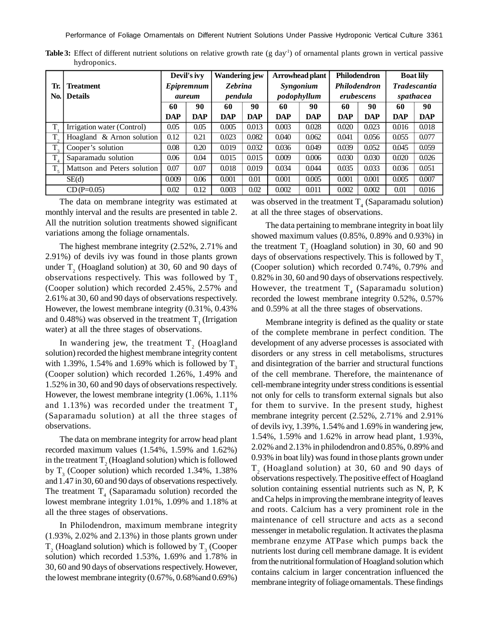**Table 3:** Effect of different nutrient solutions on relative growth rate (g day<sup>1</sup>) of ornamental plants grown in vertical passive hydroponics.

|                | Tr.<br><b>Treatment</b>     |            | Devil's ivy<br>Epipremnum |            | <b>Wandering jew</b><br><b>Zebrina</b> |            | Arrowhead plant<br>Syngonium | Philodendron | <b>Philodendron</b> | <b>Boat lily</b><br><b>Tradescantia</b> |            |  |
|----------------|-----------------------------|------------|---------------------------|------------|----------------------------------------|------------|------------------------------|--------------|---------------------|-----------------------------------------|------------|--|
|                |                             |            |                           | pendula    |                                        |            |                              | erubescens   |                     | spathacea                               |            |  |
| No.            | <b>Details</b>              |            | aureum                    |            |                                        |            | podophyllum                  |              |                     |                                         |            |  |
|                |                             | 60         | 90                        | 60         | 90                                     | 60         | 90                           | 60           | 90                  | 60                                      | 90         |  |
|                |                             | <b>DAP</b> | <b>DAP</b>                | <b>DAP</b> | <b>DAP</b>                             | <b>DAP</b> | <b>DAP</b>                   | <b>DAP</b>   | <b>DAP</b>          | <b>DAP</b>                              | <b>DAP</b> |  |
| T              | Irrigation water (Control)  | 0.05       | 0.05                      | 0.005      | 0.013                                  | 0.003      | 0.028                        | 0.020        | 0.023               | 0.016                                   | 0.018      |  |
| $T_{\gamma}$   | Hoagland & Arnon solution   | 0.12       | 0.21                      | 0.023      | 0.082                                  | 0.040      | 0.062                        | 0.041        | 0.056               | 0.055                                   | 0.077      |  |
| $T_{\rm g}$    | Cooper's solution           | 0.08       | 0.20                      | 0.019      | 0.032                                  | 0.036      | 0.049                        | 0.039        | 0.052               | 0.045                                   | 0.059      |  |
| T.             | Saparamadu solution         | 0.06       | 0.04                      | 0.015      | 0.015                                  | 0.009      | 0.006                        | 0.030        | 0.030               | 0.020                                   | 0.026      |  |
| T <sub>5</sub> | Mattson and Peters solution | 0.07       | 0.07                      | 0.018      | 0.019                                  | 0.034      | 0.044                        | 0.035        | 0.033               | 0.036                                   | 0.051      |  |
|                | SE(d)                       |            | 0.06                      | 0.001      | 0.01                                   | 0.001      | 0.005                        | 0.001        | 0.001               | 0.005                                   | 0.007      |  |
|                | $CD(P=0.05)$                |            | 0.12                      | 0.003      | 0.02                                   | 0.002      | 0.011                        | 0.002        | 0.002               | 0.01                                    | 0.016      |  |

The data on membrane integrity was estimated at monthly interval and the results are presented in table 2. All the nutrition solution treatments showed significant variations among the foliage ornamentals.

The highest membrane integrity (2.52%, 2.71% and 2.91%) of devils ivy was found in those plants grown under  $T_2$  (Hoagland solution) at 30, 60 and 90 days of observations respectively. This was followed by  $T_3$ (Cooper solution) which recorded 2.45%, 2.57% and 2.61% at 30, 60 and 90 days of observations respectively. However, the lowest membrane integrity (0.31%, 0.43% and  $0.48\%$ ) was observed in the treatment  $T<sub>1</sub>$  (Irrigation water) at all the three stages of observations.

In wandering jew, the treatment  $T_{2}^{\text{}}$  (Hoagland solution) recorded the highest membrane integrity content with 1.39%, 1.54% and 1.69% which is followed by  $T<sub>2</sub>$ (Cooper solution) which recorded 1.26%, 1.49% and 1.52% in 30, 60 and 90 days of observations respectively. However, the lowest membrane integrity (1.06%, 1.11% and 1.13%) was recorded under the treatment  $T<sub>4</sub>$ (Saparamadu solution) at all the three stages of observations.

The data on membrane integrity for arrow head plant recorded maximum values (1.54%, 1.59% and 1.62%) in the treatment  $T_2$  (Hoagland solution) which is followed by  $T_3$  (Cooper solution) which recorded 1.34%, 1.38% and 1.47 in 30, 60 and 90 days of observations respectively. The treatment  $T_4$  (Saparamadu solution) recorded the lowest membrane integrity 1.01%, 1.09% and 1.18% at all the three stages of observations.

In Philodendron, maximum membrane integrity (1.93%, 2.02% and 2.13%) in those plants grown under  $T_2$  (Hoagland solution) which is followed by  $T_3$  (Cooper solution) which recorded 1.53%, 1.69% and 1.78% in 30, 60 and 90 days of observations respectively. However, the lowest membrane integrity (0.67%, 0.68%and 0.69%)

was observed in the treatment  $T_4$  (Saparamadu solution) at all the three stages of observations.

The data pertaining to membrane integrity in boat lily showed maximum values (0.85%, 0.89% and 0.93%) in the treatment  $T_2$  (Hoagland solution) in 30, 60 and 90 days of observations respectively. This is followed by  $T_3$ (Cooper solution) which recorded 0.74%, 0.79% and 0.82% in 30, 60 and 90 days of observations respectively. However, the treatment  $T_4$  (Saparamadu solution) recorded the lowest membrane integrity 0.52%, 0.57% and 0.59% at all the three stages of observations.

Membrane integrity is defined as the quality or state of the complete membrane in perfect condition. The development of any adverse processes is associated with disorders or any stress in cell metabolisms, structures and disintegration of the barrier and structural functions of the cell membrane. Therefore, the maintenance of cell-membrane integrity under stress conditions is essential not only for cells to transform external signals but also for them to survive. In the present study, highest membrane integrity percent (2.52%, 2.71% and 2.91% of devils ivy, 1.39%, 1.54% and 1.69% in wandering jew, 1.54%, 1.59% and 1.62% in arrow head plant, 1.93%, 2.02% and 2.13% in philodendron and 0.85%, 0.89% and 0.93% in boat lily) was found in those plants grown under  $T<sub>2</sub>$  (Hoagland solution) at 30, 60 and 90 days of observations respectively. The positive effect of Hoagland solution containing essential nutrients such as N, P, K and Ca helps in improving the membrane integrity of leaves and roots. Calcium has a very prominent role in the maintenance of cell structure and acts as a second messenger in metabolic regulation. It activates the plasma membrane enzyme ATPase which pumps back the nutrients lost during cell membrane damage. It is evident from the nutritional formulation of Hoagland solution which contains calcium in larger concentration influenced the membrane integrity of foliage ornamentals. These findings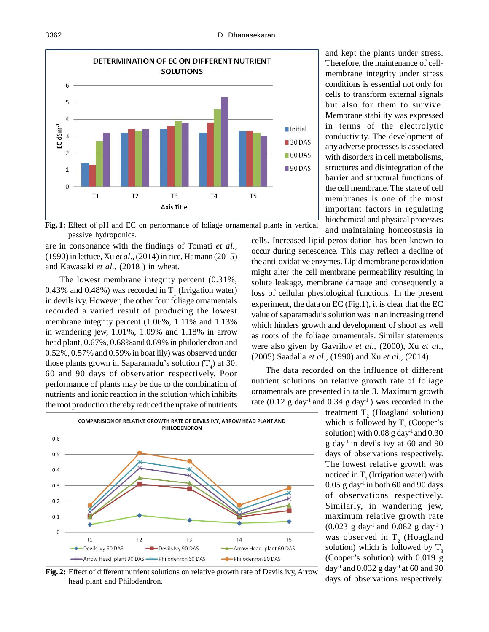

**Fig. 1:** Effect of pH and EC on performance of foliage ornamental plants in vertical passive hydroponics.

are in consonance with the findings of Tomati *et al.,* (1990) in lettuce, Xu *et al.,* (2014) in rice, Hamann (2015) and Kawasaki *et al.,* (2018 ) in wheat.

The lowest membrane integrity percent (0.31%, 0.43% and 0.48%) was recorded in  $T_1$  (Irrigation water) in devils ivy. However, the other four foliage ornamentals recorded a varied result of producing the lowest membrane integrity percent (1.06%, 1.11% and 1.13% in wandering jew, 1.01%, 1.09% and 1.18% in arrow head plant, 0.67%, 0.68%and 0.69% in philodendron and 0.52%, 0.57% and 0.59% in boat lily) was observed under those plants grown in Saparamadu's solution  $(T_4)$  at 30, 60 and 90 days of observation respectively. Poor performance of plants may be due to the combination of nutrients and ionic reaction in the solution which inhibits the root production thereby reduced the uptake of nutrients



**Fig. 2:** Effect of different nutrient solutions on relative growth rate of Devils ivy, Arrow head plant and Philodendron.

and kept the plants under stress. Therefore, the maintenance of cellmembrane integrity under stress conditions is essential not only for cells to transform external signals but also for them to survive. Membrane stability was expressed in terms of the electrolytic conductivity. The development of any adverse processes is associated with disorders in cell metabolisms, structures and disintegration of the barrier and structural functions of the cell membrane. The state of cell membranes is one of the most important factors in regulating biochemical and physical processes and maintaining homeostasis in

cells. Increased lipid peroxidation has been known to occur during senescence. This may reflect a decline of the anti-oxidative enzymes. Lipid membrane peroxidation might alter the cell membrane permeability resulting in solute leakage, membrane damage and consequently a loss of cellular physiological functions. In the present experiment, the data on EC (Fig.1), it is clear that the EC value of saparamadu's solution was in an increasing trend which hinders growth and development of shoot as well as roots of the foliage ornamentals. Similar statements were also given by Gavrilov *et al.,* (2000), Xu *et al.,* (2005) Saadalla *et al.,* (1990) and Xu *et al.,* (2014).

The data recorded on the influence of different nutrient solutions on relative growth rate of foliage ornamentals are presented in table 3. Maximum growth rate  $(0.12 \text{ g day}^{-1}$  and  $0.34 \text{ g day}^{-1})$  was recorded in the

> treatment  $T_2$  (Hoagland solution) which is followed by  $T_3$  (Cooper's solution) with  $0.08$  g day<sup>-1</sup> and  $0.30$ g day-1 in devils ivy at 60 and 90 days of observations respectively. The lowest relative growth was noticed in  $T_1$  (Irrigation water) with  $0.05$  g day<sup>-1</sup> in both 60 and 90 days of observations respectively. Similarly, in wandering jew, maximum relative growth rate  $(0.023 \text{ g day}^{-1} \text{ and } 0.082 \text{ g day}^{-1})$ was observed in  $T_2$  (Hoagland solution) which is followed by  $T_3$ (Cooper's solution) with 0.019 g day<sup>-1</sup> and 0.032 g day<sup>-1</sup> at 60 and 90 days of observations respectively.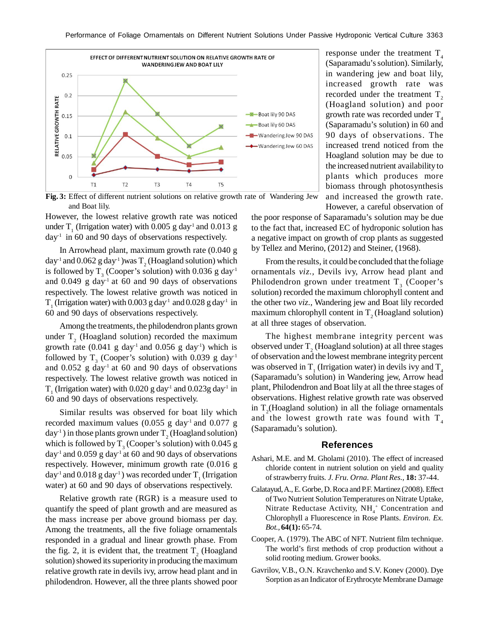

response under the treatment  $T_{4}$ (Saparamadu's solution). Similarly, in wandering jew and boat lily, increased growth rate was recorded under the treatment  $T<sub>2</sub>$ (Hoagland solution) and poor growth rate was recorded under  $T<sub>4</sub>$ (Saparamadu's solution) in 60 and 90 days of observations. The increased trend noticed from the Hoagland solution may be due to the increased nutrient availability to plants which produces more biomass through photosynthesis and increased the growth rate. However, a careful observation of

**Fig. 3:** Effect of different nutrient solutions on relative growth rate of Wandering Jew and Boat lily.

However, the lowest relative growth rate was noticed under  $T_1$  (Irrigation water) with 0.005 g day<sup>-1</sup> and 0.013 g day-1 in 60 and 90 days of observations respectively.

In Arrowhead plant, maximum growth rate (0.040 g day<sup>-1</sup> and  $0.062$  g day<sup>-1</sup> )was T<sub>2</sub> (Hoagland solution) which is followed by  $T_3$  (Cooper's solution) with 0.036 g day<sup>-1</sup> and 0.049 g day-1 at 60 and 90 days of observations respectively. The lowest relative growth was noticed in  $T_1$  (Irrigation water) with 0.003 g day<sup>-1</sup> and 0.028 g day<sup>-1</sup> in 60 and 90 days of observations respectively.

Among the treatments, the philodendron plants grown under  $T_2$  (Hoagland solution) recorded the maximum growth rate  $(0.041 \text{ g day}^{-1}$  and  $0.056 \text{ g day}^{-1})$  which is followed by  $T_3$  (Cooper's solution) with 0.039 g day<sup>-1</sup> and  $0.052$  g day<sup>-1</sup> at 60 and 90 days of observations respectively. The lowest relative growth was noticed in  $T_1$  (Irrigation water) with 0.020 g day<sup>-1</sup> and 0.023g day<sup>-1</sup> in 60 and 90 days of observations respectively.

Similar results was observed for boat lily which recorded maximum values  $(0.055 \text{ g day}^1 \text{ and } 0.077 \text{ g})$  $day^{-1}$ ) in those plants grown under  $T_2$  (Hoagland solution) which is followed by  $T_3$  (Cooper's solution) with 0.045 g day<sup>-1</sup> and 0.059 g day<sup>-1</sup> at 60 and 90 days of observations respectively. However, minimum growth rate (0.016 g day<sup>-1</sup> and  $0.018$  g day<sup>-1</sup>) was recorded under T<sub>1</sub> (Irrigation water) at 60 and 90 days of observations respectively.

Relative growth rate (RGR) is a measure used to quantify the speed of plant growth and are measured as the mass increase per above ground biomass per day. Among the treatments, all the five foliage ornamentals responded in a gradual and linear growth phase. From the fig. 2, it is evident that, the treatment  $T_2$  (Hoagland solution) showed its superiority in producing the maximum relative growth rate in devils ivy, arrow head plant and in philodendron. However, all the three plants showed poor the poor response of Saparamadu's solution may be due to the fact that, increased EC of hydroponic solution has a negative impact on growth of crop plants as suggested by Tellez and Merino, (2012) and Steiner, (1968).

From the results, it could be concluded that the foliage ornamentals *viz.,* Devils ivy, Arrow head plant and Philodendron grown under treatment  $T_3$  (Cooper's solution) recorded the maximum chlorophyll content and the other two *viz.,* Wandering jew and Boat lily recorded maximum chlorophyll content in  $T<sub>2</sub>$  (Hoagland solution) at all three stages of observation.

The highest membrane integrity percent was observed under  $T_2$  (Hoagland solution) at all three stages of observation and the lowest membrane integrity percent was observed in  $T_1$  (Irrigation water) in devils ivy and  $T_4$ (Saparamadu's solution) in Wandering jew, Arrow head plant, Philodendron and Boat lily at all the three stages of observations. Highest relative growth rate was observed in  $T_2$ (Hoagland solution) in all the foliage ornamentals and the lowest growth rate was found with  $T<sub>4</sub>$ (Saparamadu's solution).

## **References**

- Ashari, M.E. and M. Gholami (2010). The effect of increased chloride content in nutrient solution on yield and quality of strawberry fruits*. J. Fru. Orna. Plant Res.,* **18:** 37-44.
- Calatayud, A., E. Gorbe, D. Roca and P.F. Martinez (2008). Effect of Two Nutrient Solution Temperatures on Nitrate Uptake, Nitrate Reductase Activity,  $NH<sub>4</sub><sup>+</sup>$  Concentration and Chlorophyll a Fluorescence in Rose Plants. *Environ. Ex. Bot.,* **64(1):** 65-74.
- Cooper, A. (1979). The ABC of NFT. Nutrient film technique. The world's first methods of crop production without a solid rooting medium. Grower books.
- Gavrilov, V.B., O.N. Kravchenko and S.V. Konev (2000). Dye Sorption as an Indicator of Erythrocyte Membrane Damage